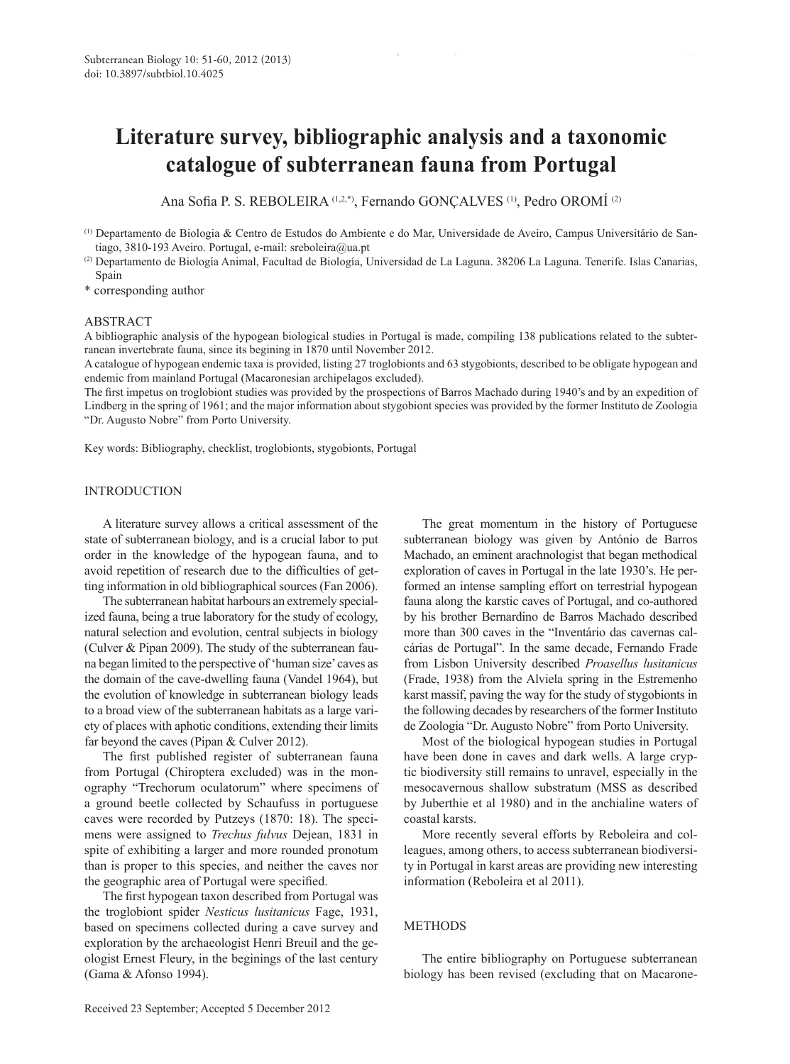# **Literature survey, bibliographic analysis and a taxonomic catalogue of subterranean fauna from Portugal**

Ana Sofia P. S. REBOLEIRA (1,2,\*), Fernando GONÇALVES (1), Pedro OROMÍ<sup>(2)</sup>

- (2) Departamento de Biología Animal, Facultad de Biología, Universidad de La Laguna. 38206 La Laguna. Tenerife. Islas Canarias, Spain
- \* corresponding author

#### ABSTRACT

A bibliographic analysis of the hypogean biological studies in Portugal is made, compiling 138 publications related to the subterranean invertebrate fauna, since its begining in 1870 until November 2012.

A catalogue of hypogean endemic taxa is provided, listing 27 troglobionts and 63 stygobionts, described to be obligate hypogean and endemic from mainland Portugal (Macaronesian archipelagos excluded).

The first impetus on troglobiont studies was provided by the prospections of Barros Machado during 1940's and by an expedition of Lindberg in the spring of 1961; and the major information about stygobiont species was provided by the former Instituto de Zoologia "Dr. Augusto Nobre" from Porto University.

Key words: Bibliography, checklist, troglobionts, stygobionts, Portugal

# INTRODUCTION

A literature survey allows a critical assessment of the state of subterranean biology, and is a crucial labor to put order in the knowledge of the hypogean fauna, and to avoid repetition of research due to the difficulties of getting information in old bibliographical sources (Fan 2006).

The subterranean habitat harbours an extremely specialized fauna, being a true laboratory for the study of ecology, natural selection and evolution, central subjects in biology (Culver & Pipan 2009). The study of the subterranean fauna began limited to the perspective of 'human size' caves as the domain of the cave-dwelling fauna (Vandel 1964), but the evolution of knowledge in subterranean biology leads to a broad view of the subterranean habitats as a large variety of places with aphotic conditions, extending their limits far beyond the caves (Pipan & Culver 2012).

The first published register of subterranean fauna from Portugal (Chiroptera excluded) was in the monography "Trechorum oculatorum" where specimens of a ground beetle collected by Schaufuss in portuguese caves were recorded by Putzeys (1870: 18). The specimens were assigned to *Trechus fulvus* Dejean, 1831 in spite of exhibiting a larger and more rounded pronotum than is proper to this species, and neither the caves nor the geographic area of Portugal were specified.

The first hypogean taxon described from Portugal was the troglobiont spider *Nesticus lusitanicus* Fage, 1931, based on specimens collected during a cave survey and exploration by the archaeologist Henri Breuil and the geologist Ernest Fleury, in the beginings of the last century (Gama & Afonso 1994).

The great momentum in the history of Portuguese subterranean biology was given by António de Barros Machado, an eminent arachnologist that began methodical exploration of caves in Portugal in the late 1930's. He performed an intense sampling effort on terrestrial hypogean fauna along the karstic caves of Portugal, and co-authored by his brother Bernardino de Barros Machado described more than 300 caves in the "Inventário das cavernas calcárias de Portugal". In the same decade, Fernando Frade from Lisbon University described *Proasellus lusitanicus* (Frade, 1938) from the Alviela spring in the Estremenho karst massif, paving the way for the study of stygobionts in the following decades by researchers of the former Instituto de Zoologia "Dr. Augusto Nobre" from Porto University.

Most of the biological hypogean studies in Portugal have been done in caves and dark wells. A large cryptic biodiversity still remains to unravel, especially in the mesocavernous shallow substratum (MSS as described by Juberthie et al 1980) and in the anchialine waters of coastal karsts.

More recently several efforts by Reboleira and colleagues, among others, to access subterranean biodiversity in Portugal in karst areas are providing new interesting information (Reboleira et al 2011).

# **METHODS**

The entire bibliography on Portuguese subterranean biology has been revised (excluding that on Macarone-

<sup>(1)</sup> Departamento de Biologia & Centro de Estudos do Ambiente e do Mar, Universidade de Aveiro, Campus Universitário de Santiago, 3810-193 Aveiro. Portugal, e-mail: [sreboleira@ua.pt](mailto:sreboleira@ua.pt)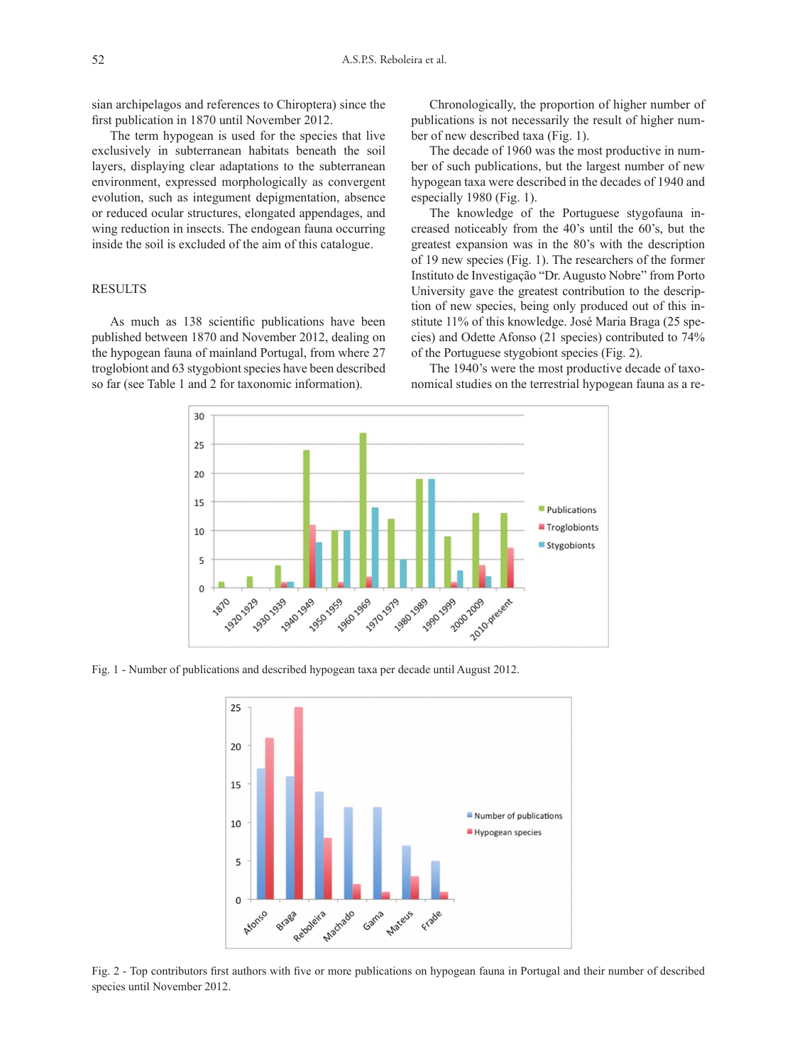sian archipelagos and references to Chiroptera) since the first publication in 1870 until November 2012.

The term hypogean is used for the species that live exclusively in subterranean habitats beneath the soil layers, displaying clear adaptations to the subterranean environment, expressed morphologically as convergent evolution, such as integument depigmentation, absence or reduced ocular structures, elongated appendages, and wing reduction in insects. The endogean fauna occurring inside the soil is excluded of the aim of this catalogue.

#### **RESULTS**

As much as 138 scientific publications have been published between 1870 and November 2012, dealing on the hypogean fauna of mainland Portugal, from where 27 troglobiont and 63 stygobiont species have been described so far (see Table 1 and 2 for taxonomic information).

Chronologically, the proportion of higher number of publications is not necessarily the result of higher number of new described taxa (Fig. 1).

The decade of 1960 was the most productive in number of such publications, but the largest number of new hypogean taxa were described in the decades of 1940 and especially 1980 (Fig. 1).

The knowledge of the Portuguese stygofauna increased noticeably from the 40's until the 60's, but the greatest expansion was in the 80's with the description of 19 new species (Fig. 1). The researchers of the former Instituto de Investigação "Dr. Augusto Nobre" from Porto University gave the greatest contribution to the description of new species, being only produced out of this institute 11% of this knowledge. José Maria Braga (25 species) and Odette Afonso (21 species) contributed to 74% of the Portuguese stygobiont species (Fig. 2).

The 1940's were the most productive decade of taxonomical studies on the terrestrial hypogean fauna as a re-



Fig. 1 - Number of publications and described hypogean taxa per decade until August 2012.



Fig. 2 - Top contributors first authors with five or more publications on hypogean fauna in Portugal and their number of described species until November 2012.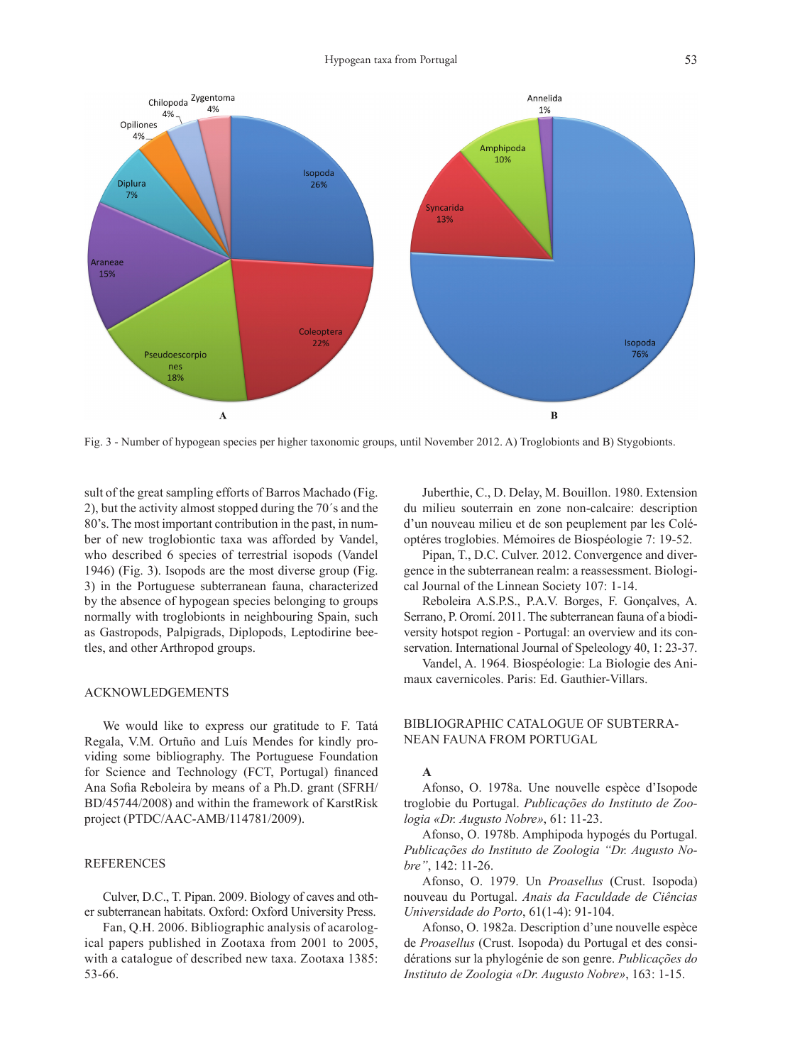

Fig. 3 - Number of hypogean species per higher taxonomic groups, until November 2012. A) Troglobionts and B) Stygobionts.

sult of the great sampling efforts of Barros Machado (Fig. 2), but the activity almost stopped during the 70´s and the 80's. The most important contribution in the past, in number of new troglobiontic taxa was afforded by Vandel, who described 6 species of terrestrial isopods (Vandel 1946) (Fig. 3). Isopods are the most diverse group (Fig. 3) in the Portuguese subterranean fauna, characterized by the absence of hypogean species belonging to groups normally with troglobionts in neighbouring Spain, such as Gastropods, Palpigrads, Diplopods, Leptodirine beetles, and other Arthropod groups.

#### Acknowledgements

We would like to express our gratitude to F. Tatá Regala, V.M. Ortuño and Luís Mendes for kindly providing some bibliography. The Portuguese Foundation for Science and Technology (FCT, Portugal) financed Ana Sofia Reboleira by means of a Ph.D. grant (SFRH/ BD/45744/2008) and within the framework of KarstRisk project (PTDC/AAC-AMB/114781/2009).

# **REFERENCES**

Culver, D.C., T. Pipan. 2009. Biology of caves and other subterranean habitats. Oxford: Oxford University Press.

Fan, Q.H. 2006. Bibliographic analysis of acarological papers published in Zootaxa from 2001 to 2005, with a catalogue of described new taxa. Zootaxa 1385: 53-66.

Juberthie, C., D. Delay, M. Bouillon. 1980. Extension du milieu souterrain en zone non-calcaire: description d'un nouveau milieu et de son peuplement par les Coléoptéres troglobies. Mémoires de Biospéologie 7: 19-52.

Pipan, T., D.C. Culver. 2012. Convergence and divergence in the subterranean realm: a reassessment. Biological Journal of the Linnean Society 107: 1-14.

Reboleira A.S.P.S., P.A.V. Borges, F. Gonçalves, A. Serrano, P. Oromí. 2011. The subterranean fauna of a biodiversity hotspot region - Portugal: an overview and its conservation. International Journal of Speleology 40, 1: 23-37.

Vandel, A. 1964. Biospéologie: La Biologie des Animaux cavernicoles. Paris: Ed. Gauthier-Villars.

# Bibliographic catalogue of subterranean fauna from Portugal

#### **A**

Afonso, O. 1978a. Une nouvelle espèce d'Isopode troglobie du Portugal. *Publicações do Instituto de Zoologia «Dr. Augusto Nobre»*, 61: 11-23.

Afonso, O. 1978b. Amphipoda hypogés du Portugal. *Publicações do Instituto de Zoologia "Dr. Augusto Nobre"*, 142: 11-26.

Afonso, O. 1979. Un *Proasellus* (Crust. Isopoda) nouveau du Portugal. *Anais da Faculdade de Ciências Universidade do Porto*, 61(1-4): 91-104.

Afonso, O. 1982a. Description d'une nouvelle espèce de *Proasellus* (Crust. Isopoda) du Portugal et des considérations sur la phylogénie de son genre. *Publicações do Instituto de Zoologia «Dr. Augusto Nobre»*, 163: 1-15.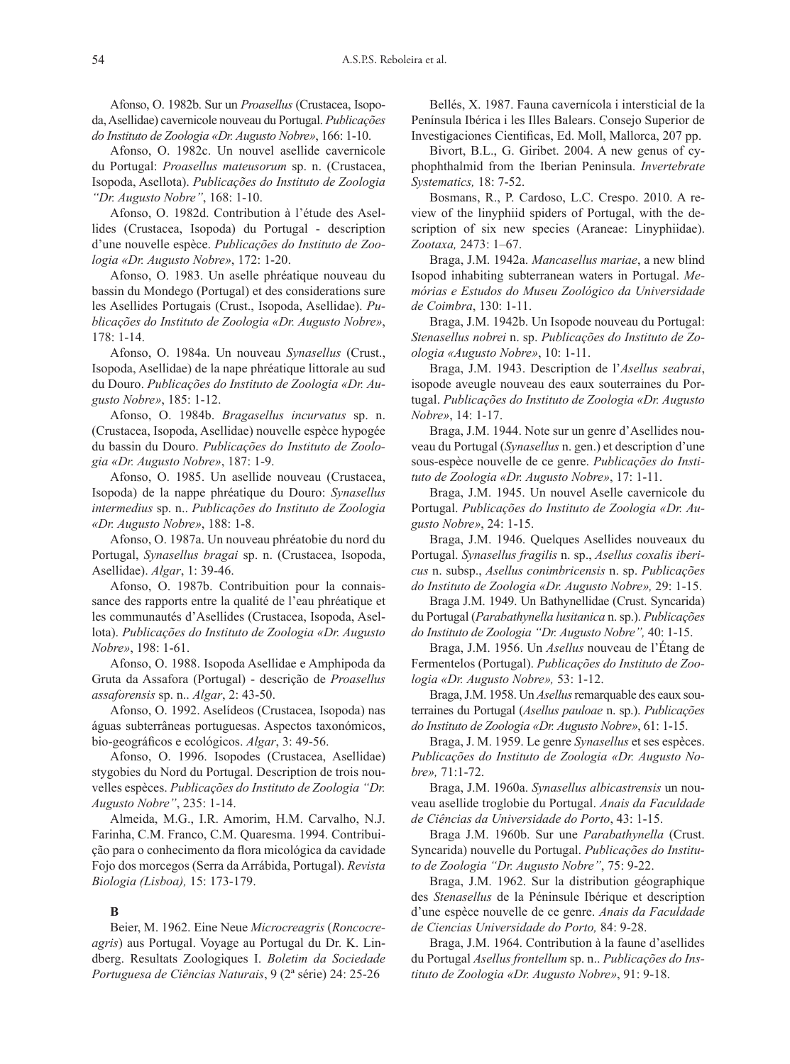Afonso, O. 1982b. Sur un *Proasellus* (Crustacea, Isopoda, Asellidae) cavernicole nouveau du Portugal. *Publicações do Instituto de Zoologia «Dr. Augusto Nobre»*, 166: 1-10.

Afonso, O. 1982c. Un nouvel asellide cavernicole du Portugal: *Proasellus mateusorum* sp. n. (Crustacea, Isopoda, Asellota). *Publicações do Instituto de Zoologia "Dr. Augusto Nobre"*, 168: 1-10.

Afonso, O. 1982d. Contribution à l'étude des Asellides (Crustacea, Isopoda) du Portugal - description d'une nouvelle espèce. *Publicações do Instituto de Zoologia «Dr. Augusto Nobre»*, 172: 1-20.

Afonso, O. 1983. Un aselle phréatique nouveau du bassin du Mondego (Portugal) et des considerations sure les Asellides Portugais (Crust., Isopoda, Asellidae). *Publicações do Instituto de Zoologia «Dr. Augusto Nobre»*, 178: 1-14.

Afonso, O. 1984a. Un nouveau *Synasellus* (Crust., Isopoda, Asellidae) de la nape phréatique littorale au sud du Douro. *Publicações do Instituto de Zoologia «Dr. Augusto Nobre»*, 185: 1-12.

Afonso, O. 1984b. *Bragasellus incurvatus* sp. n. (Crustacea, Isopoda, Asellidae) nouvelle espèce hypogée du bassin du Douro. *Publicações do Instituto de Zoologia «Dr. Augusto Nobre»*, 187: 1-9.

Afonso, O. 1985. Un asellide nouveau (Crustacea, Isopoda) de la nappe phréatique du Douro: *Synasellus intermedius* sp. n.. *Publicações do Instituto de Zoologia «Dr. Augusto Nobre»*, 188: 1-8.

Afonso, O. 1987a. Un nouveau phréatobie du nord du Portugal, *Synasellus bragai* sp. n. (Crustacea, Isopoda, Asellidae). *Algar*, 1: 39-46.

Afonso, O. 1987b. Contribuition pour la connaissance des rapports entre la qualité de l'eau phréatique et les communautés d'Asellides (Crustacea, Isopoda, Asellota). *Publicações do Instituto de Zoologia «Dr. Augusto Nobre»*, 198: 1-61.

Afonso, O. 1988. Isopoda Asellidae e Amphipoda da Gruta da Assafora (Portugal) - descrição de *Proasellus assaforensis* sp. n.. *Algar*, 2: 43-50.

Afonso, O. 1992. Aselídeos (Crustacea, Isopoda) nas águas subterrâneas portuguesas. Aspectos taxonómicos, bio-geográficos e ecológicos. *Algar*, 3: 49-56.

Afonso, O. 1996. Isopodes (Crustacea, Asellidae) stygobies du Nord du Portugal. Description de trois nouvelles espèces. *Publicações do Instituto de Zoologia "Dr. Augusto Nobre"*, 235: 1-14.

Almeida, M.G., I.R. Amorim, H.M. Carvalho, N.J. Farinha, C.M. Franco, C.M. Quaresma. 1994. Contribuição para o conhecimento da flora micológica da cavidade Fojo dos morcegos (Serra da Arrábida, Portugal). *Revista Biologia (Lisboa),* 15: 173-179.

#### **B**

Beier, M. 1962. Eine Neue *Microcreagris* (*Roncocreagris*) aus Portugal. Voyage au Portugal du Dr. K. Lindberg. Resultats Zoologiques I. *Boletim da Sociedade Portuguesa de Ciências Naturais*, 9 (2ª série) 24: 25-26

Bellés, X. 1987. Fauna cavernícola i intersticial de la Península Ibérica i les Illes Balears. Consejo Superior de Investigaciones Cientificas, Ed. Moll, Mallorca, 207 pp.

Bivort, B.L., G. Giribet. 2004. A new genus of cyphophthalmid from the Iberian Peninsula. *Invertebrate Systematics,* 18: 7-52.

Bosmans, R., P. Cardoso, L.C. Crespo. 2010. A review of the linyphiid spiders of Portugal, with the description of six new species (Araneae: Linyphiidae). *Zootaxa,* 2473: 1–67.

Braga, J.M. 1942a. *Mancasellus mariae*, a new blind Isopod inhabiting subterranean waters in Portugal. *Memórias e Estudos do Museu Zoológico da Universidade de Coimbra*, 130: 1-11.

Braga, J.M. 1942b. Un Isopode nouveau du Portugal: *Stenasellus nobrei* n. sp. *Publicações do Instituto de Zoologia «Augusto Nobre»*, 10: 1-11.

Braga, J.M. 1943. Description de l'*Asellus seabrai*, isopode aveugle nouveau des eaux souterraines du Portugal. *Publicações do Instituto de Zoologia «Dr. Augusto Nobre»*, 14: 1-17.

Braga, J.M. 1944. Note sur un genre d'Asellides nouveau du Portugal (*Synasellus* n. gen.) et description d'une sous-espèce nouvelle de ce genre. *Publicações do Instituto de Zoologia «Dr. Augusto Nobre»*, 17: 1-11.

Braga, J.M. 1945. Un nouvel Aselle cavernicole du Portugal. *Publicações do Instituto de Zoologia «Dr. Augusto Nobre»*, 24: 1-15.

Braga, J.M. 1946. Quelques Asellides nouveaux du Portugal. *Synasellus fragilis* n. sp., *Asellus coxalis ibericus* n. subsp., *Asellus conimbricensis* n. sp. *Publicações do Instituto de Zoologia «Dr. Augusto Nobre»,* 29: 1-15.

Braga J.M. 1949. Un Bathynellidae (Crust. Syncarida) du Portugal (*Parabathynella lusitanica* n. sp.). *Publicações do Instituto de Zoologia "Dr. Augusto Nobre",* 40: 1-15.

Braga, J.M. 1956. Un *Asellus* nouveau de l'Étang de Fermentelos (Portugal). *Publicações do Instituto de Zoologia «Dr. Augusto Nobre»,* 53: 1-12.

Braga, J.M. 1958. Un *Asellus* remarquable des eaux souterraines du Portugal (*Asellus pauloae* n. sp.). *Publicações do Instituto de Zoologia «Dr. Augusto Nobre»*, 61: 1-15.

Braga, J. M. 1959. Le genre *Synasellus* et ses espèces. *Publicações do Instituto de Zoologia «Dr. Augusto Nobre»,* 71:1-72.

Braga, J.M. 1960a. *Synasellus albicastrensis* un nouveau asellide troglobie du Portugal. *Anais da Faculdade de Ciências da Universidade do Porto*, 43: 1-15.

Braga J.M. 1960b. Sur une *Parabathynella* (Crust. Syncarida) nouvelle du Portugal. *Publicações do Instituto de Zoologia "Dr. Augusto Nobre"*, 75: 9-22.

Braga, J.M. 1962. Sur la distribution géographique des *Stenasellus* de la Péninsule Ibérique et description d'une espèce nouvelle de ce genre. *Anais da Faculdade de Ciencias Universidade do Porto,* 84: 9-28.

Braga, J.M. 1964. Contribution à la faune d'asellides du Portugal *Asellus frontellum* sp. n.. *Publicações do Instituto de Zoologia «Dr. Augusto Nobre»*, 91: 9-18.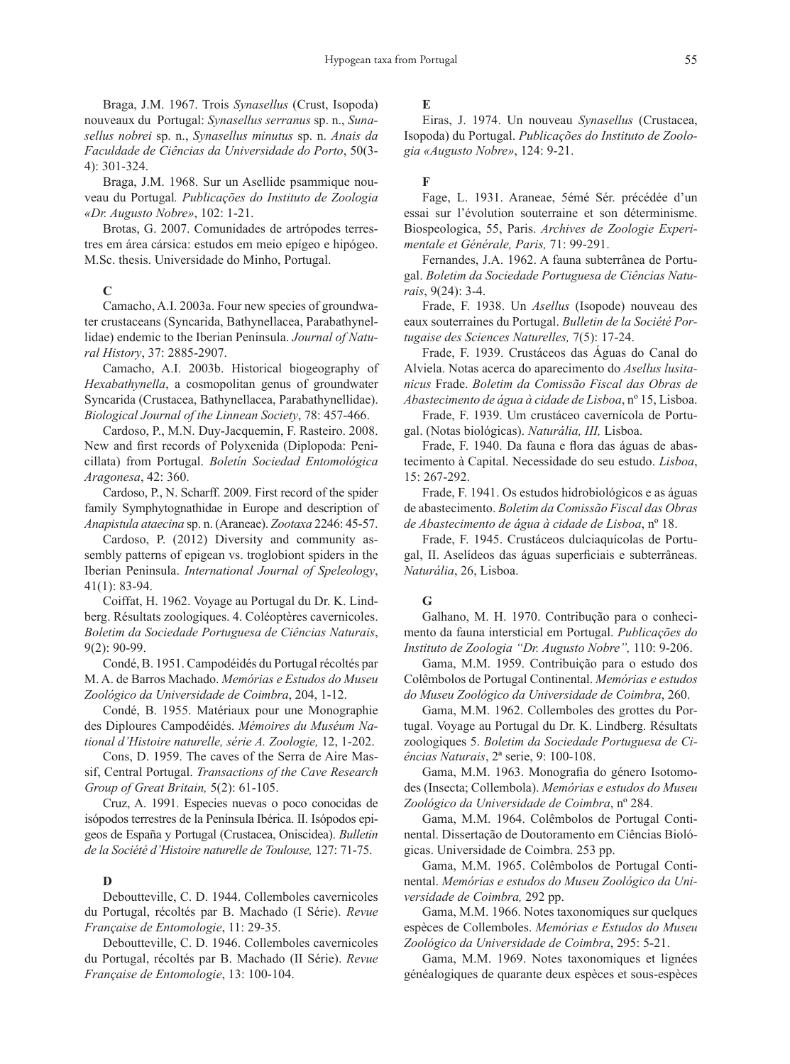Braga, J.M. 1967. Trois *Synasellus* (Crust, Isopoda) nouveaux du Portugal: *Synasellus serranus* sp. n., *Sunasellus nobrei* sp. n., *Synasellus minutus* sp. n. *Anais da Faculdade de Ciências da Universidade do Porto*, 50(3- 4): 301-324.

Braga, J.M. 1968. Sur un Asellide psammique nouveau du Portugal*. Publicações do Instituto de Zoologia «Dr. Augusto Nobre»*, 102: 1-21.

Brotas, G. 2007. Comunidades de artrópodes terrestres em área cársica: estudos em meio epígeo e hipógeo. M.Sc. thesis. Universidade do Minho, Portugal.

#### **C**

Camacho, A.I. 2003a. Four new species of groundwater crustaceans (Syncarida, Bathynellacea, Parabathynellidae) endemic to the Iberian Peninsula. *Journal of Natural History*, 37: 2885-2907.

Camacho, A.I. 2003b. Historical biogeography of *Hexabathynella*, a cosmopolitan genus of groundwater Syncarida (Crustacea, Bathynellacea, Parabathynellidae). *Biological Journal of the Linnean Society*, 78: 457-466.

Cardoso, P., M.N. Duy-Jacquemin, F. Rasteiro. 2008. New and first records of Polyxenida (Diplopoda: Penicillata) from Portugal. *Boletín Sociedad Entomológica Aragonesa*, 42: 360.

Cardoso, P., N. Scharff. 2009. First record of the spider family Symphytognathidae in Europe and description of *Anapistula ataecina* sp. n. (Araneae). *Zootaxa* 2246: 45-57.

Cardoso, P. (2012) Diversity and community assembly patterns of epigean vs. troglobiont spiders in the Iberian Peninsula. *International Journal of Speleology*, 41(1): 83-94.

Coiffat, H. 1962. Voyage au Portugal du Dr. K. Lindberg. Résultats zoologiques. 4. Coléoptères cavernicoles. *Boletim da Sociedade Portuguesa de Ciências Naturais*, 9(2): 90-99.

Condé, B. 1951. Campodéidés du Portugal récoltés par M. A. de Barros Machado. *Memórias e Estudos do Museu Zoológico da Universidade de Coimbra*, 204, 1-12.

Condé, B. 1955. Matériaux pour une Monographie des Diploures Campodéidés. *Mémoires du Muséum National d'Histoire naturelle, série A. Zoologie,* 12, 1-202.

Cons, D. 1959. The caves of the Serra de Aire Massif, Central Portugal. *Transactions of the Cave Research Group of Great Britain,* 5(2): 61-105.

Cruz, A. 1991. Especies nuevas o poco conocidas de isópodos terrestres de la Península Ibérica. II. Isópodos epigeos de España y Portugal (Crustacea, Oniscidea). *Bulletin de la Société d'Histoire naturelle de Toulouse,* 127: 71-75.

# **D**

Deboutteville, C. D. 1944. Collemboles cavernicoles du Portugal, récoltés par B. Machado (I Série). *Revue Française de Entomologie*, 11: 29-35.

Deboutteville, C. D. 1946. Collemboles cavernicoles du Portugal, récoltés par B. Machado (II Série). *Revue Française de Entomologie*, 13: 100-104.

## **E**

Eiras, J. 1974. Un nouveau *Synasellus* (Crustacea, Isopoda) du Portugal. *Publicações do Instituto de Zoologia «Augusto Nobre»*, 124: 9-21.

# **F**

Fage, L. 1931. Araneae, 5émé Sér. précédée d'un essai sur l'évolution souterraine et son déterminisme. Biospeologica, 55, Paris. *Archives de Zoologie Experimentale et Générale, Paris,* 71: 99-291.

Fernandes, J.A. 1962. A fauna subterrânea de Portugal. *Boletim da Sociedade Portuguesa de Ciências Naturais*, 9(24): 3-4.

Frade, F. 1938. Un *Asellus* (Isopode) nouveau des eaux souterraines du Portugal. *Bulletin de la Société Portugaise des Sciences Naturelles,* 7(5): 17-24.

Frade, F. 1939. Crustáceos das Águas do Canal do Alviela. Notas acerca do aparecimento do *Asellus lusitanicus* Frade. *Boletim da Comissão Fiscal das Obras de Abastecimento de água à cidade de Lisboa*, nº 15, Lisboa.

Frade, F. 1939. Um crustáceo cavernícola de Portugal. (Notas biológicas). *Naturália, III,* Lisboa.

Frade, F. 1940. Da fauna e flora das águas de abastecimento à Capital. Necessidade do seu estudo. *Lisboa*, 15: 267-292.

Frade, F. 1941. Os estudos hidrobiológicos e as águas de abastecimento. *Boletim da Comissão Fiscal das Obras de Abastecimento de água à cidade de Lisboa*, nº 18.

Frade, F. 1945. Crustáceos dulciaquícolas de Portugal, II. Aselídeos das águas superficiais e subterrâneas. *Naturália*, 26, Lisboa.

#### **G**

Galhano, M. H. 1970. Contribução para o conhecimento da fauna intersticial em Portugal. *Publicações do Instituto de Zoologia "Dr. Augusto Nobre",* 110: 9-206.

Gama, M.M. 1959. Contribuição para o estudo dos Colêmbolos de Portugal Continental. *Memórias e estudos do Museu Zoológico da Universidade de Coimbra*, 260.

Gama, M.M. 1962. Collemboles des grottes du Portugal. Voyage au Portugal du Dr. K. Lindberg. Résultats zoologiques 5. *Boletim da Sociedade Portuguesa de Ciências Naturais*, 2ª serie, 9: 100-108.

Gama, M.M. 1963. Monografia do género Isotomodes (Insecta; Collembola). *Memórias e estudos do Museu Zoológico da Universidade de Coimbra*, nº 284.

Gama, M.M. 1964. Colêmbolos de Portugal Continental. Dissertação de Doutoramento em Ciências Biológicas. Universidade de Coimbra. 253 pp.

Gama, M.M. 1965. Colêmbolos de Portugal Continental. *Memórias e estudos do Museu Zoológico da Universidade de Coimbra,* 292 pp.

Gama, M.M. 1966. Notes taxonomiques sur quelques espèces de Collemboles. *Memórias e Estudos do Museu Zoológico da Universidade de Coimbra*, 295: 5-21.

Gama, M.M. 1969. Notes taxonomiques et lignées généalogiques de quarante deux espèces et sous-espèces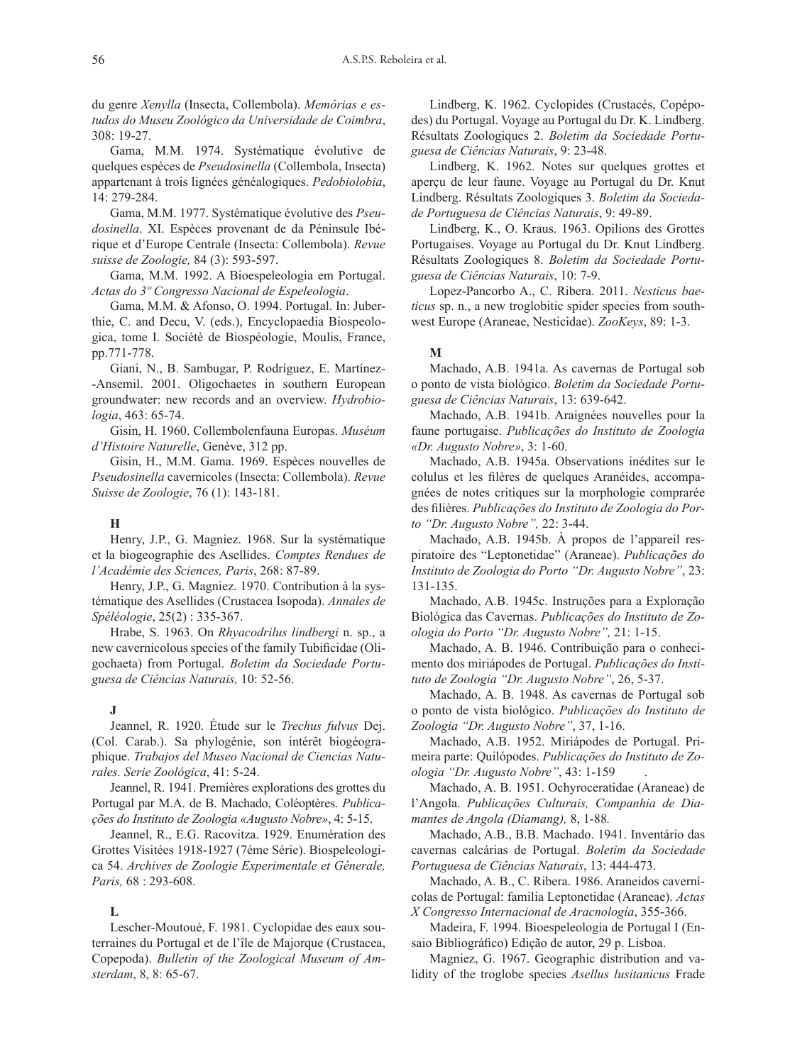du genre *Xenylla* (Insecta, Collembola). *Memórias e estudos do Museu Zoológico da Universidade de Coimbra*, 308: 19-27.

Gama, M.M. 1974. Systématique évolutive de quelques espèces de *Pseudosinella* (Collembola, Insecta) appartenant à trois lignées généalogiques. *Pedobiolobia*, 14: 279-284.

Gama, M.M. 1977. Systématique évolutive des *Pseudosinella*. XI. Espèces provenant de da Péninsule Ibérique et d'Europe Centrale (Insecta: Collembola). *Revue suisse de Zoologie,* 84 (3): 593-597.

Gama, M.M. 1992. A Bioespeleologia em Portugal. *Actas do 3º Congresso Nacional de Espeleologia*.

Gama, M.M. & Afonso, O. 1994. Portugal. In: Juberthie, C. and Decu, V. (eds.), Encyclopaedia Biospeologica, tome I. Sociétè de Biospéologie, Moulis, France, pp.771-778.

Giani, N., B. Sambugar, P. Rodríguez, E. Martínez- -Ansemil. 2001. Oligochaetes in southern European groundwater: new records and an overview. *Hydrobiologia*, 463: 65-74.

Gisin, H. 1960. Collembolenfauna Europas. *Muséum d'Histoire Naturelle*, Genève, 312 pp.

Gisin, H., M.M. Gama. 1969. Espèces nouvelles de *Pseudosinella* cavernicoles (Insecta: Collembola). *Revue Suisse de Zoologie*, 76 (1): 143-181.

# **H**

Henry, J.P., G. Magniez. 1968. Sur la systématique et la biogeographie des Asellides. *Comptes Rendues de l'Académie des Sciences, Paris*, 268: 87-89.

Henry, J.P., G. Magniez. 1970. Contribution à la systématique des Asellides (Crustacea Isopoda). *Annales de Spéléologie*, 25(2) : 335-367.

Hrabe, S. 1963. On *Rhyacodrilus lindbergi* n. sp., a new cavernicolous species of the family Tubificidae (Oligochaeta) from Portugal. *Boletim da Sociedade Portuguesa de Ciências Naturais,* 10: 52-56.

#### **J**

Jeannel, R. 1920. Étude sur le *Trechus fulvus* Dej. (Col. Carab.). Sa phylogénie, son intérêt biogéographique. *Trabajos del Museo Nacional de Ciencias Naturales. Serie Zoológica*, 41: 5-24.

Jeannel, R. 1941. Premières explorations des grottes du Portugal par M.A. de B. Machado, Coléoptères. *Publicações do Instituto de Zoologia «Augusto Nobre»*, 4: 5-15.

Jeannel, R., E.G. Racovitza. 1929. Enumération des Grottes Visitées 1918-1927 (7éme Série). Biospeleologica 54. *Archives de Zoologie Experimentale et Génerale, Paris,* 68 : 293-608.

#### **L**

Lescher-Moutoué, F. 1981. Cyclopidae des eaux souterraines du Portugal et de l'île de Majorque (Crustacea, Copepoda). *Bulletin of the Zoological Museum of Amsterdam*, 8, 8: 65-67.

Lindberg, K. 1962. Cyclopides (Crustacés, Copépodes) du Portugal. Voyage au Portugal du Dr. K. Lindberg. Résultats Zoologiques 2. *Boletim da Sociedade Portuguesa de Ciências Naturais*, 9: 23-48.

Lindberg, K. 1962. Notes sur quelques grottes et aperçu de leur faune. Voyage au Portugal du Dr. Knut Lindberg. Résultats Zoologiques 3. *Boletim da Sociedade Portuguesa de Ciências Naturais*, 9: 49-89.

Lindberg, K., O. Kraus. 1963. Opilions des Grottes Portugaises. Voyage au Portugal du Dr. Knut Lindberg. Résultats Zoologiques 8. *Boletim da Sociedade Portuguesa de Ciências Naturais*, 10: 7-9.

Lopez-Pancorbo A., C. Ribera. 2011. *Nesticus baeticus* sp. n., a new troglobitic spider species from southwest Europe (Araneae, Nesticidae). *ZooKeys*, 89: 1-3.

#### **M**

Machado, A.B. 1941a. As cavernas de Portugal sob o ponto de vista biológico. *Boletim da Sociedade Portuguesa de Ciências Naturais*, 13: 639-642.

Machado, A.B. 1941b. Araignées nouvelles pour la faune portugaise. *Publicações do Instituto de Zoologia «Dr. Augusto Nobre»*, 3: 1-60.

Machado, A.B. 1945a. Observations inédites sur le colulus et les filères de quelques Aranéides, accompagnées de notes critiques sur la morphologie comprarée des filières. *Publicações do Instituto de Zoologia do Porto "Dr. Augusto Nobre",* 22: 3-44.

Machado, A.B. 1945b. À propos de l'appareil respiratoire des "Leptonetidae" (Araneae). *Publicações do Instituto de Zoologia do Porto "Dr. Augusto Nobre"*, 23: 131-135.

Machado, A.B. 1945c. Instruções para a Exploração Biológica das Cavernas. *Publicações do Instituto de Zoologia do Porto "Dr. Augusto Nobre",* 21: 1-15.

Machado, A. B. 1946. Contribuição para o conhecimento dos miriápodes de Portugal. *Publicações do Instituto de Zoologia "Dr. Augusto Nobre"*, 26, 5-37.

Machado, A. B. 1948. As cavernas de Portugal sob o ponto de vista biológico. *Publicações do Instituto de Zoologia "Dr. Augusto Nobre"*, 37, 1-16.

Machado, A.B. 1952. Miriápodes de Portugal. Primeira parte: Quilópodes. *Publicações do Instituto de Zoologia "Dr. Augusto Nobre"*, 43: 1-159 .

Machado, A. B. 1951. Ochyroceratidae (Araneae) de l'Angola. *Publicações Culturais, Companhia de Diamantes de Angola (Diamang),* 8, 1-88*.*

Machado, A.B., B.B. Machado. 1941. Inventário das cavernas calcárias de Portugal. *Boletim da Sociedade Portuguesa de Ciências Naturais*, 13: 444-473.

Machado, A. B., C. Ribera. 1986. Araneidos cavernícolas de Portugal: familia Leptonetidae (Araneae). *Actas X Congresso Internacional de Aracnología*, 355-366.

Madeira, F. 1994. Bioespeleologia de Portugal I (Ensaio Bibliográfico) Edição de autor, 29 p. Lisboa.

Magniez, G. 1967. Geographic distribution and validity of the troglobe species *Asellus lusitanicus* Frade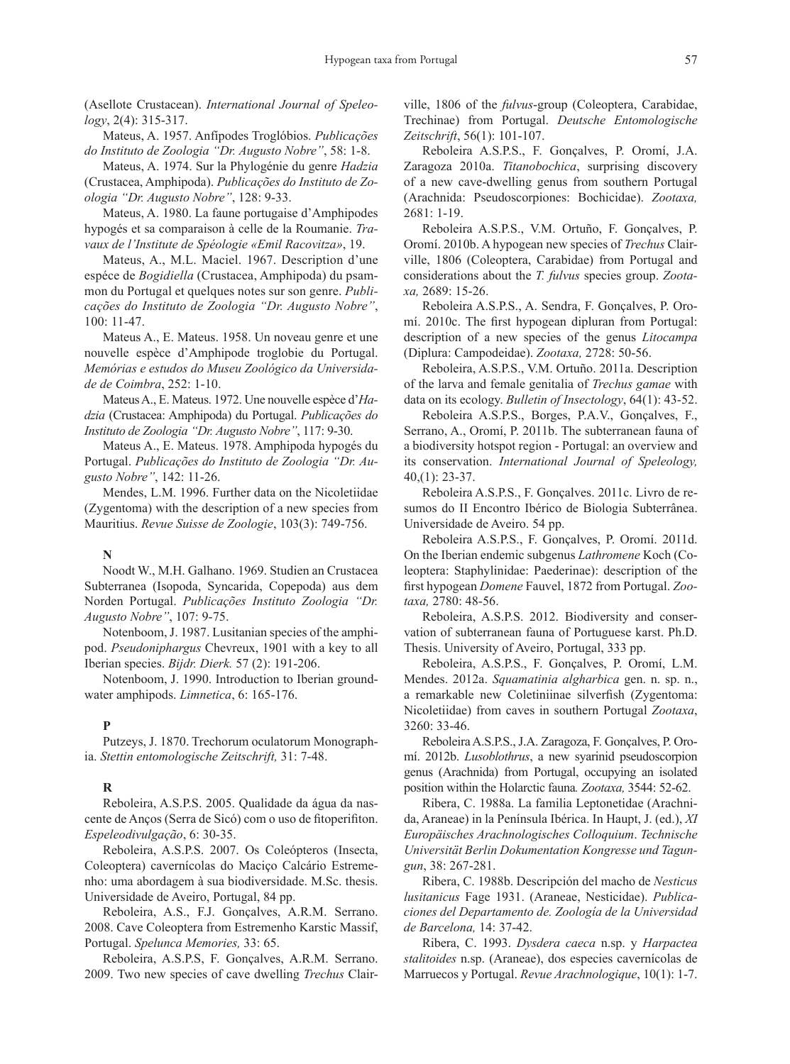(Asellote Crustacean). *International Journal of Speleology*, 2(4): 315-317.

Mateus, A. 1957. Anfípodes Troglóbios. *Publicações do Instituto de Zoologia "Dr. Augusto Nobre"*, 58: 1-8.

Mateus, A. 1974. Sur la Phylogénie du genre *Hadzia* (Crustacea, Amphipoda). *Publicações do Instituto de Zoologia "Dr. Augusto Nobre"*, 128: 9-33.

Mateus, A. 1980. La faune portugaise d'Amphipodes hypogés et sa comparaison à celle de la Roumanie. *Travaux de l'Institute de Spéologie «Emil Racovitza»*, 19.

Mateus, A., M.L. Maciel. 1967. Description d'une espéce de *Bogidiella* (Crustacea, Amphipoda) du psammon du Portugal et quelques notes sur son genre. *Publicações do Instituto de Zoologia "Dr. Augusto Nobre"*, 100: 11-47.

Mateus A., E. Mateus. 1958. Un noveau genre et une nouvelle espèce d'Amphipode troglobie du Portugal. *Memórias e estudos do Museu Zoológico da Universidade de Coimbra*, 252: 1-10.

Mateus A., E. Mateus. 1972. Une nouvelle espèce d'*Hadzia* (Crustacea: Amphipoda) du Portugal. *Publicações do Instituto de Zoologia "Dr. Augusto Nobre"*, 117: 9-30.

Mateus A., E. Mateus. 1978. Amphipoda hypogés du Portugal. *Publicações do Instituto de Zoologia "Dr. Augusto Nobre"*, 142: 11-26.

Mendes, L.M. 1996. Further data on the Nicoletiidae (Zygentoma) with the description of a new species from Mauritius. *Revue Suisse de Zoologie*, 103(3): 749-756.

#### **N**

Noodt W., M.H. Galhano. 1969. Studien an Crustacea Subterranea (Isopoda, Syncarida, Copepoda) aus dem Norden Portugal. *Publicações Instituto Zoologia "Dr. Augusto Nobre"*, 107: 9-75.

Notenboom, J. 1987. Lusitanian species of the amphipod. *Pseudoniphargus* Chevreux, 1901 with a key to all Iberian species. *Bijdr. Dierk.* 57 (2): 191-206.

Notenboom, J. 1990. Introduction to Iberian groundwater amphipods. *Limnetica*, 6: 165-176.

# **P**

Putzeys, J. 1870. Trechorum oculatorum Monographia. *Stettin entomologische Zeitschrift,* 31: 7-48.

#### **R**

Reboleira, A.S.P.S. 2005. Qualidade da água da nascente de Anços (Serra de Sicó) com o uso de fitoperifiton. *Espeleodivulgação*, 6: 30-35.

Reboleira, A.S.P.S. 2007. Os Coleópteros (Insecta, Coleoptera) cavernícolas do Maciço Calcário Estremenho: uma abordagem à sua biodiversidade. M.Sc. thesis. Universidade de Aveiro, Portugal, 84 pp.

Reboleira, A.S., F.J. Gonçalves, A.R.M. Serrano. 2008. Cave Coleoptera from Estremenho Karstic Massif, Portugal. *Spelunca Memories,* 33: 65.

Reboleira, A.S.P.S, F. Gonçalves, A.R.M. Serrano. 2009. Two new species of cave dwelling *Trechus* Clairville, 1806 of the *fulvus*-group (Coleoptera, Carabidae, Trechinae) from Portugal. *Deutsche Entomologische Zeitschrift*, 56(1): 101-107.

Reboleira A.S.P.S., F. Gonçalves, P. Oromí, J.A. Zaragoza 2010a. *Titanobochica*, surprising discovery of a new cave-dwelling genus from southern Portugal (Arachnida: Pseudoscorpiones: Bochicidae). *Zootaxa,*  2681: 1-19.

Reboleira A.S.P.S., V.M. Ortuño, F. Gonçalves, P. Oromí. 2010b. A hypogean new species of *Trechus* Clairville, 1806 (Coleoptera, Carabidae) from Portugal and considerations about the *T. fulvus* species group. *Zootaxa,* 2689: 15-26.

Reboleira A.S.P.S., A. Sendra, F. Gonçalves, P. Oromí. 2010c. The first hypogean dipluran from Portugal: description of a new species of the genus *Litocampa*  (Diplura: Campodeidae). *Zootaxa,* 2728: 50-56.

Reboleira, A.S.P.S., V.M. Ortuño. 2011a. Description of the larva and female genitalia of *Trechus gamae* with data on its ecology. *Bulletin of Insectology*, 64(1): 43-52.

Reboleira A.S.P.S., Borges, P.A.V., Gonçalves, F., Serrano, A., Oromí, P. 2011b. The subterranean fauna of a biodiversity hotspot region - Portugal: an overview and its conservation. *International Journal of Speleology,*  40,(1): 23-37.

Reboleira A.S.P.S., F. Gonçalves. 2011c. Livro de resumos do II Encontro Ibérico de Biologia Subterrânea. Universidade de Aveiro. 54 pp.

Reboleira A.S.P.S., F. Gonçalves, P. Oromí. 2011d. On the Iberian endemic subgenus *Lathromene* Koch (Coleoptera: Staphylinidae: Paederinae): description of the first hypogean *Domene* Fauvel, 1872 from Portugal. *Zootaxa,* 2780: 48-56.

Reboleira, A.S.P.S. 2012. Biodiversity and conservation of subterranean fauna of Portuguese karst. Ph.D. Thesis. University of Aveiro, Portugal, 333 pp.

Reboleira, A.S.P.S., F. Gonçalves, P. Oromí, L.M. Mendes. 2012a. *Squamatinia algharbica* gen. n. sp. n., a remarkable new Coletiniinae silverfish (Zygentoma: Nicoletiidae) from caves in southern Portugal *Zootaxa*, 3260: 33-46.

Reboleira A.S.P.S., J.A. Zaragoza, F. Gonçalves, P. Oromí. 2012b. *Lusoblothrus*, a new syarinid pseudoscorpion genus (Arachnida) from Portugal, occupying an isolated position within the Holarctic fauna*. Zootaxa,* 3544: 52-62.

Ribera, C. 1988a. La familia Leptonetidae (Arachnida, Araneae) in la Península Ibérica. In Haupt, J. (ed.), *XI Europäisches Arachnologisches Colloquium*. *Technische Universität Berlin Dokumentation Kongresse und Tagungun*, 38: 267-281.

Ribera, C. 1988b. Descripción del macho de *Nesticus lusitanicus* Fage 1931. (Araneae, Nesticidae). *Publicaciones del Departamento de. Zoología de la Universidad de Barcelona,* 14: 37-42.

Ribera, C. 1993. *Dysdera caeca* n.sp. y *Harpactea stalitoides* n.sp. (Araneae), dos especies cavernícolas de Marruecos y Portugal. *Revue Arachnologique*, 10(1): 1-7.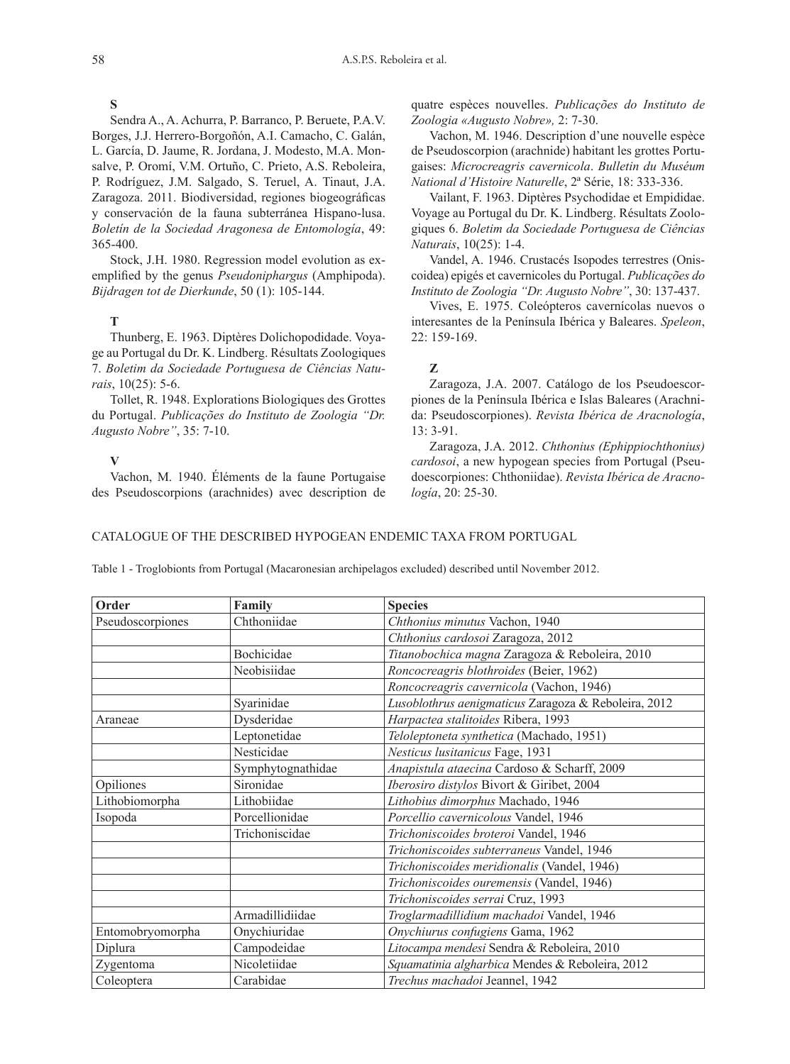## **S**

Sendra A., A. Achurra, P. Barranco, P. Beruete, P.A.V. Borges, J.J. Herrero-Borgoñón, A.I. Camacho, C. Galán, L. García, D. Jaume, R. Jordana, J. Modesto, M.A. Monsalve, P. Oromí, V.M. Ortuño, C. Prieto, A.S. Reboleira, P. Rodríguez, J.M. Salgado, S. Teruel, A. Tinaut, J.A. Zaragoza. 2011. Biodiversidad, regiones biogeográficas y conservación de la fauna subterránea Hispano-lusa. *Boletín de la Sociedad Aragonesa de Entomología*, 49: 365-400.

Stock, J.H. 1980. Regression model evolution as exemplified by the genus *Pseudoniphargus* (Amphipoda). *Bijdragen tot de Dierkunde*, 50 (1): 105-144.

# **T**

Thunberg, E. 1963. Diptères Dolichopodidade. Voyage au Portugal du Dr. K. Lindberg. Résultats Zoologiques 7. *Boletim da Sociedade Portuguesa de Ciências Naturais*, 10(25): 5-6.

Tollet, R. 1948. Explorations Biologiques des Grottes du Portugal. *Publicações do Instituto de Zoologia "Dr. Augusto Nobre"*, 35: 7-10.

**V**

Vachon, M. 1940. Éléments de la faune Portugaise des Pseudoscorpions (arachnides) avec description de quatre espèces nouvelles. *Publicações do Instituto de Zoologia «Augusto Nobre»,* 2: 7-30.

Vachon, M. 1946. Description d'une nouvelle espèce de Pseudoscorpion (arachnide) habitant les grottes Portugaises: *Microcreagris cavernicola*. *Bulletin du Muséum National d'Histoire Naturelle*, 2ª Série, 18: 333-336.

Vailant, F. 1963. Diptères Psychodidae et Empididae. Voyage au Portugal du Dr. K. Lindberg. Résultats Zoologiques 6. *Boletim da Sociedade Portuguesa de Ciências Naturais*, 10(25): 1-4.

Vandel, A. 1946. Crustacés Isopodes terrestres (Oniscoidea) epigés et cavernicoles du Portugal. *Publicações do Instituto de Zoologia "Dr. Augusto Nobre"*, 30: 137-437.

Vives, E. 1975. Coleópteros cavernícolas nuevos o interesantes de la Península Ibérica y Baleares. *Speleon*, 22: 159-169.

# **Z**

Zaragoza, J.A. 2007. Catálogo de los Pseudoescorpiones de la Península Ibérica e Islas Baleares (Arachnida: Pseudoscorpiones). *Revista Ibérica de Aracnología*, 13: 3-91.

Zaragoza, J.A. 2012. *Chthonius (Ephippiochthonius) cardosoi*, a new hypogean species from Portugal (Pseudoescorpiones: Chthoniidae). *Revista Ibérica de Aracnología*, 20: 25-30.

# Catalogue of the described hypogean endemic taxa from Portugal

**Order Family Species** Pseudoscorpiones Chthoniidae *Chthonius minutus* Vachon, 1940 *Chthonius cardosoi* Zaragoza, 2012 Bochicidae *Titanobochica magna* Zaragoza & Reboleira, 2010 Neobisiidae *Roncocreagris blothroides* (Beier, 1962) *Roncocreagris cavernicola* (Vachon, 1946) Syarinidae *Lusoblothrus aenigmaticus* Zaragoza & Reboleira, 2012 Araneae Dysderidae *Harpactea stalitoides* Ribera, 1993 Leptonetidae *Teloleptoneta synthetica* (Machado, 1951) Nesticidae *Nesticus lusitanicus* Fage, 1931 Symphytognathidae *Anapistula ataecina* Cardoso & Scharff, 2009 Opiliones Sironidae *Iberosiro distylos* Bivort & Giribet, 2004 Lithobiomorpha Lithobiidae *Lithobius dimorphus* Machado, 1946 Isopoda Porcellionidae *Porcellio cavernicolous* Vandel, 1946 Trichoniscidae *Trichoniscoides broteroi* Vandel, 1946 *Trichoniscoides subterraneus* Vandel, 1946 *Trichoniscoides meridionalis* (Vandel, 1946) *Trichoniscoides ouremensis* (Vandel, 1946) *Trichoniscoides serrai* Cruz, 1993 Armadillidiidae *Troglarmadillidium machadoi* Vandel, 1946 Entomobryomorpha Onychiuridae *Onychiurus confugiens* Gama, 1962 Diplura Campodeidae *Litocampa mendesi* Sendra & Reboleira, 2010 Zygentoma Nicoletiidae *Squamatinia algharbica* Mendes & Reboleira, 2012 Coleoptera Carabidae *Trechus machadoi* Jeannel, 1942

Table 1 - Troglobionts from Portugal (Macaronesian archipelagos excluded) described until November 2012.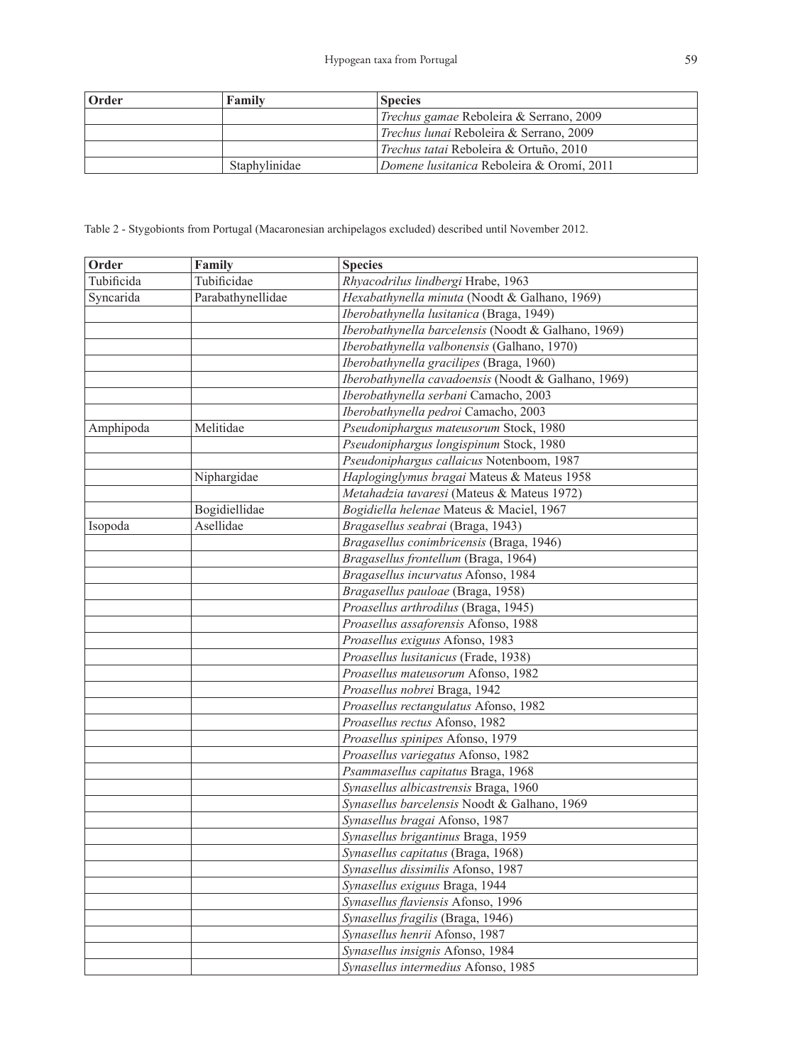| <b>Order</b> | Family        | <b>Species</b>                                 |
|--------------|---------------|------------------------------------------------|
|              |               | Trechus gamae Reboleira & Serrano, 2009        |
|              |               | <i>Trechus lunai</i> Reboleira & Serrano, 2009 |
|              |               | <i>Trechus tatai</i> Reboleira & Ortuño, 2010  |
|              | Staphylinidae | Domene lusitanica Reboleira & Oromí, 2011      |

Table 2 - Stygobionts from Portugal (Macaronesian archipelagos excluded) described until November 2012.

| Order      | Family            | <b>Species</b>                                      |
|------------|-------------------|-----------------------------------------------------|
| Tubificida | Tubificidae       | Rhyacodrilus lindbergi Hrabe, 1963                  |
| Syncarida  | Parabathynellidae | Hexabathynella minuta (Noodt & Galhano, 1969)       |
|            |                   | Iberobathynella lusitanica (Braga, 1949)            |
|            |                   | Iberobathynella barcelensis (Noodt & Galhano, 1969) |
|            |                   | Iberobathynella valbonensis (Galhano, 1970)         |
|            |                   | Iberobathynella gracilipes (Braga, 1960)            |
|            |                   | Iberobathynella cavadoensis (Noodt & Galhano, 1969) |
|            |                   | Iberobathynella serbani Camacho, 2003               |
|            |                   | Iberobathynella pedroi Camacho, 2003                |
| Amphipoda  | Melitidae         | Pseudoniphargus mateusorum Stock, 1980              |
|            |                   | Pseudoniphargus longispinum Stock, 1980             |
|            |                   | Pseudoniphargus callaicus Notenboom, 1987           |
|            | Niphargidae       | Haploginglymus bragai Mateus & Mateus 1958          |
|            |                   | Metahadzia tavaresi (Mateus & Mateus 1972)          |
|            | Bogidiellidae     | Bogidiella helenae Mateus & Maciel, 1967            |
| Isopoda    | Asellidae         | Bragasellus seabrai (Braga, 1943)                   |
|            |                   | Bragasellus conimbricensis (Braga, 1946)            |
|            |                   | Bragasellus frontellum (Braga, 1964)                |
|            |                   | Bragasellus incurvatus Afonso, 1984                 |
|            |                   | Bragasellus pauloae (Braga, 1958)                   |
|            |                   | Proasellus arthrodilus (Braga, 1945)                |
|            |                   | Proasellus assaforensis Afonso, 1988                |
|            |                   | Proasellus exiguus Afonso, 1983                     |
|            |                   | Proasellus lusitanicus (Frade, 1938)                |
|            |                   | Proasellus mateusorum Afonso, 1982                  |
|            |                   | Proasellus nobrei Braga, 1942                       |
|            |                   | Proasellus rectangulatus Afonso, 1982               |
|            |                   | Proasellus rectus Afonso, 1982                      |
|            |                   | Proasellus spinipes Afonso, 1979                    |
|            |                   | Proasellus variegatus Afonso, 1982                  |
|            |                   | Psammasellus capitatus Braga, 1968                  |
|            |                   | Synasellus albicastrensis Braga, 1960               |
|            |                   | Synasellus barcelensis Noodt & Galhano, 1969        |
|            |                   | Synasellus bragai Afonso, 1987                      |
|            |                   | Synasellus brigantinus Braga, 1959                  |
|            |                   | Synasellus capitatus (Braga, 1968)                  |
|            |                   | Synasellus dissimilis Afonso, 1987                  |
|            |                   | Synasellus exiguus Braga, 1944                      |
|            |                   | Synasellus flaviensis Afonso, 1996                  |
|            |                   | Synasellus fragilis (Braga, 1946)                   |
|            |                   | Synasellus henrii Afonso, 1987                      |
|            |                   | Synasellus insignis Afonso, 1984                    |
|            |                   | Synasellus intermedius Afonso, 1985                 |